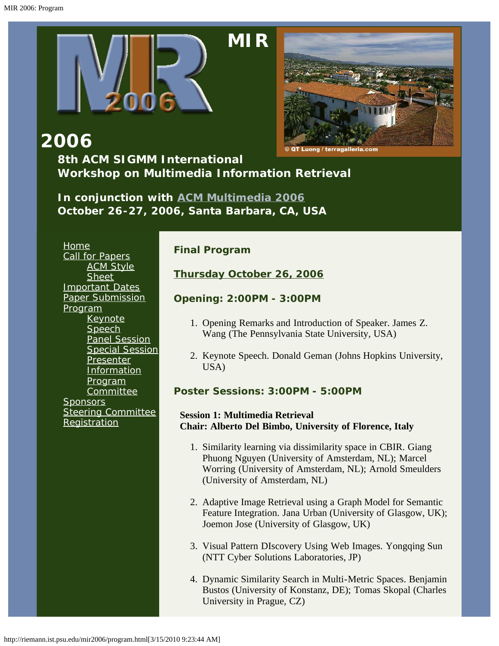<span id="page-0-0"></span>

# **[M](http://riemann.ist.psu.edu/mir2006/index.html)IR**



**2006**

**8th ACM SIGMM International Workshop on Multimedia Information Retrieval**

*In conjunction with [ACM Multimedia 2006](http://www.mmdb.ece.ucsb.edu/acmmm06/) October 26-27, 2006, Santa Barbara, CA, USA*

**[Home](http://riemann.ist.psu.edu/mir2006/index.html)** [Call for Papers](http://riemann.ist.psu.edu/mir2006/callforpapers.html) [ACM Style](http://www.acm.org/sigs/pubs/proceed/template.html) **[Sheet](http://www.acm.org/sigs/pubs/proceed/template.html)** [Important Dates](http://riemann.ist.psu.edu/mir2006/imptdates.html) [Paper Submission](http://riemann.ist.psu.edu/mir2006/papersubmission.html) [Program](#page-0-0) **[Keynote](http://riemann.ist.psu.edu/mir2006/keynote.html)** [Speech](http://riemann.ist.psu.edu/mir2006/keynote.html) [Panel Session](http://riemann.ist.psu.edu/mir2006/panelsession.html) [Special Session](http://riemann.ist.psu.edu/mir2006/specialsession.html) [Presenter](http://riemann.ist.psu.edu/mir2006/presenterinfo.html) **[Information](http://riemann.ist.psu.edu/mir2006/presenterinfo.html)** [Program](http://riemann.ist.psu.edu/mir2006/programcom.html) **[Committee](http://riemann.ist.psu.edu/mir2006/programcom.html) [Sponsors](http://riemann.ist.psu.edu/mir2006/sponsors.html) [Steering Committee](http://riemann.ist.psu.edu/mir2006/steeringcom.html) [Registration](http://riemann.ist.psu.edu/mir2006/registration.html)** 

# **Final Program**

**Thursday October 26, 2006**

**Opening: 2:00PM - 3:00PM**

- 1. Opening Remarks and Introduction of Speaker. James Z. Wang (The Pennsylvania State University, USA)
- 2. Keynote Speech. Donald Geman (Johns Hopkins University, USA)

**Poster Sessions: 3:00PM - 5:00PM**

# **Session 1: Multimedia Retrieval Chair: Alberto Del Bimbo, University of Florence, Italy**

- 1. Similarity learning via dissimilarity space in CBIR. Giang Phuong Nguyen (University of Amsterdam, NL); Marcel Worring (University of Amsterdam, NL); Arnold Smeulders (University of Amsterdam, NL)
- 2. Adaptive Image Retrieval using a Graph Model for Semantic Feature Integration. Jana Urban (University of Glasgow, UK); Joemon Jose (University of Glasgow, UK)
- 3. Visual Pattern DIscovery Using Web Images. Yongqing Sun (NTT Cyber Solutions Laboratories, JP)
- 4. Dynamic Similarity Search in Multi-Metric Spaces. Benjamin Bustos (University of Konstanz, DE); Tomas Skopal (Charles University in Prague, CZ)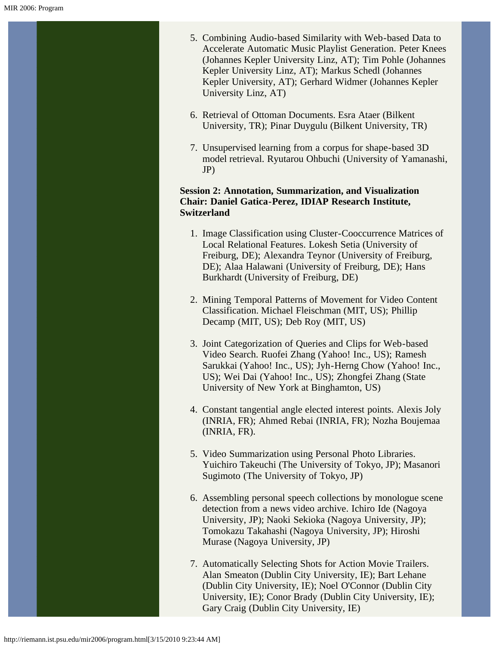- 5. Combining Audio-based Similarity with Web-based Data to Accelerate Automatic Music Playlist Generation. Peter Knees (Johannes Kepler University Linz, AT); Tim Pohle (Johannes Kepler University Linz, AT); Markus Schedl (Johannes Kepler University, AT); Gerhard Widmer (Johannes Kepler University Linz, AT)
- 6. Retrieval of Ottoman Documents. Esra Ataer (Bilkent University, TR); Pinar Duygulu (Bilkent University, TR)
- 7. Unsupervised learning from a corpus for shape-based 3D model retrieval. Ryutarou Ohbuchi (University of Yamanashi, JP)

#### **Session 2: Annotation, Summarization, and Visualization Chair: Daniel Gatica-Perez, IDIAP Research Institute, Switzerland**

- 1. Image Classification using Cluster-Cooccurrence Matrices of Local Relational Features. Lokesh Setia (University of Freiburg, DE); Alexandra Teynor (University of Freiburg, DE); Alaa Halawani (University of Freiburg, DE); Hans Burkhardt (University of Freiburg, DE)
- 2. Mining Temporal Patterns of Movement for Video Content Classification. Michael Fleischman (MIT, US); Phillip Decamp (MIT, US); Deb Roy (MIT, US)
- 3. Joint Categorization of Queries and Clips for Web-based Video Search. Ruofei Zhang (Yahoo! Inc., US); Ramesh Sarukkai (Yahoo! Inc., US); Jyh-Herng Chow (Yahoo! Inc., US); Wei Dai (Yahoo! Inc., US); Zhongfei Zhang (State University of New York at Binghamton, US)
- 4. Constant tangential angle elected interest points. Alexis Joly (INRIA, FR); Ahmed Rebai (INRIA, FR); Nozha Boujemaa (INRIA, FR).
- 5. Video Summarization using Personal Photo Libraries. Yuichiro Takeuchi (The University of Tokyo, JP); Masanori Sugimoto (The University of Tokyo, JP)
- 6. Assembling personal speech collections by monologue scene detection from a news video archive. Ichiro Ide (Nagoya University, JP); Naoki Sekioka (Nagoya University, JP); Tomokazu Takahashi (Nagoya University, JP); Hiroshi Murase (Nagoya University, JP)
- 7. Automatically Selecting Shots for Action Movie Trailers. Alan Smeaton (Dublin City University, IE); Bart Lehane (Dublin City University, IE); Noel O'Connor (Dublin City University, IE); Conor Brady (Dublin City University, IE); Gary Craig (Dublin City University, IE)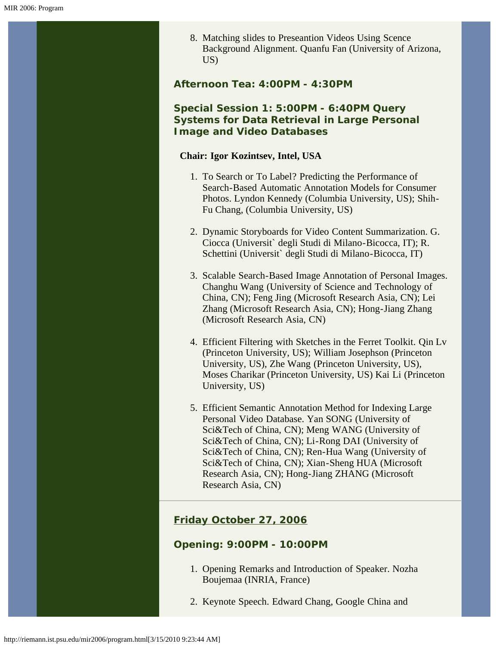8. Matching slides to Preseantion Videos Using Scence Background Alignment. Quanfu Fan (University of Arizona, US)

**Afternoon Tea: 4:00PM - 4:30PM**

## **Special Session 1: 5:00PM - 6:40PM Query Systems for Data Retrieval in Large Personal Image and Video Databases**

#### **Chair: Igor Kozintsev, Intel, USA**

- 1. To Search or To Label? Predicting the Performance of Search-Based Automatic Annotation Models for Consumer Photos. Lyndon Kennedy (Columbia University, US); Shih-Fu Chang, (Columbia University, US)
- 2. Dynamic Storyboards for Video Content Summarization. G. Ciocca (Universit` degli Studi di Milano-Bicocca, IT); R. Schettini (Universit` degli Studi di Milano-Bicocca, IT)
- 3. Scalable Search-Based Image Annotation of Personal Images. Changhu Wang (University of Science and Technology of China, CN); Feng Jing (Microsoft Research Asia, CN); Lei Zhang (Microsoft Research Asia, CN); Hong-Jiang Zhang (Microsoft Research Asia, CN)
- 4. Efficient Filtering with Sketches in the Ferret Toolkit. Qin Lv (Princeton University, US); William Josephson (Princeton University, US), Zhe Wang (Princeton University, US), Moses Charikar (Princeton University, US) Kai Li (Princeton University, US)
- 5. Efficient Semantic Annotation Method for Indexing Large Personal Video Database. Yan SONG (University of Sci&Tech of China, CN); Meng WANG (University of Sci&Tech of China, CN); Li-Rong DAI (University of Sci&Tech of China, CN); Ren-Hua Wang (University of Sci&Tech of China, CN); Xian-Sheng HUA (Microsoft Research Asia, CN); Hong-Jiang ZHANG (Microsoft Research Asia, CN)

# **Friday October 27, 2006**

#### **Opening: 9:00PM - 10:00PM**

- 1. Opening Remarks and Introduction of Speaker. Nozha Boujemaa (INRIA, France)
- 2. Keynote Speech. Edward Chang, Google China and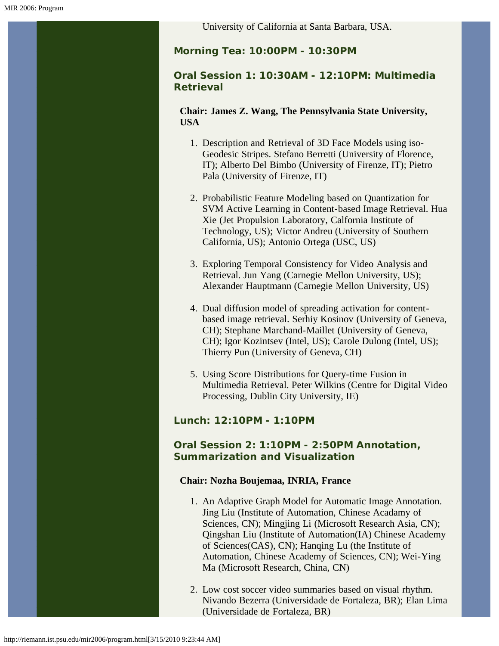University of California at Santa Barbara, USA.

**Morning Tea: 10:00PM - 10:30PM**

## **Oral Session 1: 10:30AM - 12:10PM: Multimedia Retrieval**

**Chair: James Z. Wang, The Pennsylvania State University, USA**

- 1. Description and Retrieval of 3D Face Models using iso-Geodesic Stripes. Stefano Berretti (University of Florence, IT); Alberto Del Bimbo (University of Firenze, IT); Pietro Pala (University of Firenze, IT)
- 2. Probabilistic Feature Modeling based on Quantization for SVM Active Learning in Content-based Image Retrieval. Hua Xie (Jet Propulsion Laboratory, Calfornia Institute of Technology, US); Victor Andreu (University of Southern California, US); Antonio Ortega (USC, US)
- 3. Exploring Temporal Consistency for Video Analysis and Retrieval. Jun Yang (Carnegie Mellon University, US); Alexander Hauptmann (Carnegie Mellon University, US)
- 4. Dual diffusion model of spreading activation for contentbased image retrieval. Serhiy Kosinov (University of Geneva, CH); Stephane Marchand-Maillet (University of Geneva, CH); Igor Kozintsev (Intel, US); Carole Dulong (Intel, US); Thierry Pun (University of Geneva, CH)
- 5. Using Score Distributions for Query-time Fusion in Multimedia Retrieval. Peter Wilkins (Centre for Digital Video Processing, Dublin City University, IE)

## **Lunch: 12:10PM - 1:10PM**

## **Oral Session 2: 1:10PM - 2:50PM Annotation, Summarization and Visualization**

#### **Chair: Nozha Boujemaa, INRIA, France**

- 1. An Adaptive Graph Model for Automatic Image Annotation. Jing Liu (Institute of Automation, Chinese Acadamy of Sciences, CN); Mingjing Li (Microsoft Research Asia, CN); Qingshan Liu (Institute of Automation(IA) Chinese Academy of Sciences(CAS), CN); Hanqing Lu (the Institute of Automation, Chinese Academy of Sciences, CN); Wei-Ying Ma (Microsoft Research, China, CN)
- 2. Low cost soccer video summaries based on visual rhythm. Nivando Bezerra (Universidade de Fortaleza, BR); Elan Lima (Universidade de Fortaleza, BR)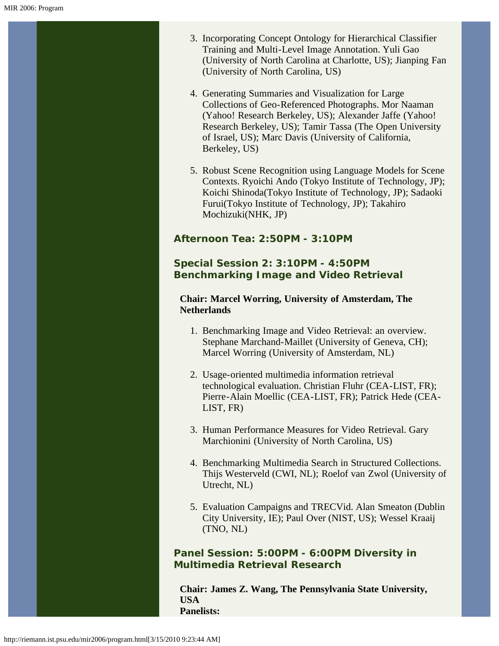- 3. Incorporating Concept Ontology for Hierarchical Classifier Training and Multi-Level Image Annotation. Yuli Gao (University of North Carolina at Charlotte, US); Jianping Fan (University of North Carolina, US)
- 4. Generating Summaries and Visualization for Large Collections of Geo-Referenced Photographs. Mor Naaman (Yahoo! Research Berkeley, US); Alexander Jaffe (Yahoo! Research Berkeley, US); Tamir Tassa (The Open University of Israel, US); Marc Davis (University of California, Berkeley, US)
- 5. Robust Scene Recognition using Language Models for Scene Contexts. Ryoichi Ando (Tokyo Institute of Technology, JP); Koichi Shinoda(Tokyo Institute of Technology, JP); Sadaoki Furui(Tokyo Institute of Technology, JP); Takahiro Mochizuki(NHK, JP)

# **Afternoon Tea: 2:50PM - 3:10PM**

## **Special Session 2: 3:10PM - 4:50PM Benchmarking Image and Video Retrieval**

#### **Chair: Marcel Worring, University of Amsterdam, The Netherlands**

- 1. Benchmarking Image and Video Retrieval: an overview. Stephane Marchand-Maillet (University of Geneva, CH); Marcel Worring (University of Amsterdam, NL)
- 2. Usage-oriented multimedia information retrieval technological evaluation. Christian Fluhr (CEA-LIST, FR); Pierre-Alain Moellic (CEA-LIST, FR); Patrick Hede (CEA-LIST, FR)
- 3. Human Performance Measures for Video Retrieval. Gary Marchionini (University of North Carolina, US)
- 4. Benchmarking Multimedia Search in Structured Collections. Thijs Westerveld (CWI, NL); Roelof van Zwol (University of Utrecht, NL)
- 5. Evaluation Campaigns and TRECVid. Alan Smeaton (Dublin City University, IE); Paul Over (NIST, US); Wessel Kraaij (TNO, NL)

**Panel Session: 5:00PM - 6:00PM Diversity in Multimedia Retrieval Research**

**Chair: James Z. Wang, The Pennsylvania State University, USA Panelists:**